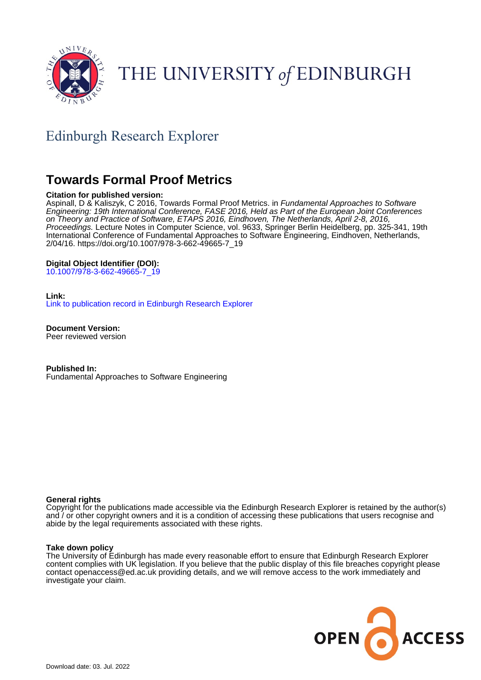

# THE UNIVERSITY of EDINBURGH

# Edinburgh Research Explorer

# **Towards Formal Proof Metrics**

# **Citation for published version:**

Aspinall, D & Kaliszyk, C 2016, Towards Formal Proof Metrics. in *Fundamental Approaches to Software* Engineering: 19th International Conference, FASE 2016, Held as Part of the European Joint Conferences on Theory and Practice of Software, ETAPS 2016, Eindhoven, The Netherlands, April 2-8, 2016, Proceedings. Lecture Notes in Computer Science, vol. 9633, Springer Berlin Heidelberg, pp. 325-341, 19th International Conference of Fundamental Approaches to Software Engineering, Eindhoven, Netherlands, 2/04/16. [https://doi.org/10.1007/978-3-662-49665-7\\_19](https://doi.org/10.1007/978-3-662-49665-7_19)

# **Digital Object Identifier (DOI):**

[10.1007/978-3-662-49665-7\\_19](https://doi.org/10.1007/978-3-662-49665-7_19)

### **Link:**

[Link to publication record in Edinburgh Research Explorer](https://www.research.ed.ac.uk/en/publications/604389b3-87d6-4a3a-bb67-f893ffe6a0f1)

**Document Version:** Peer reviewed version

**Published In:** Fundamental Approaches to Software Engineering

# **General rights**

Copyright for the publications made accessible via the Edinburgh Research Explorer is retained by the author(s) and / or other copyright owners and it is a condition of accessing these publications that users recognise and abide by the legal requirements associated with these rights.

#### **Take down policy**

The University of Edinburgh has made every reasonable effort to ensure that Edinburgh Research Explorer content complies with UK legislation. If you believe that the public display of this file breaches copyright please contact openaccess@ed.ac.uk providing details, and we will remove access to the work immediately and investigate your claim.

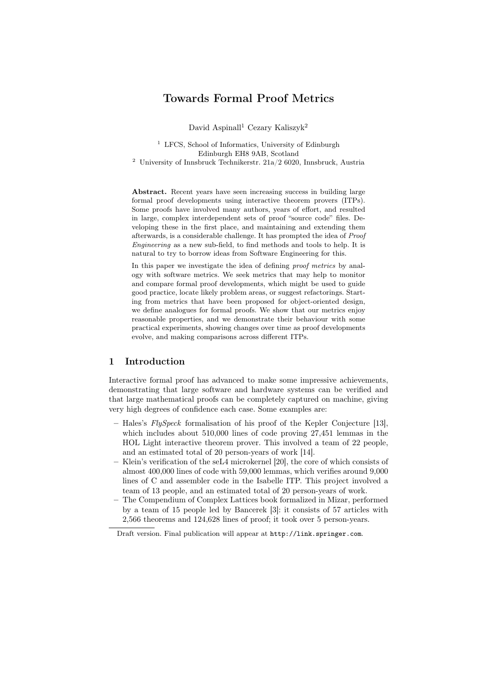# Towards Formal Proof Metrics

David Aspinall<sup>1</sup> Cezary Kaliszyk<sup>2</sup>

<sup>1</sup> LFCS, School of Informatics, University of Edinburgh Edinburgh EH8 9AB, Scotland

<sup>2</sup> University of Innsbruck Technikerstr.  $21a/2$  6020, Innsbruck, Austria

Abstract. Recent years have seen increasing success in building large formal proof developments using interactive theorem provers (ITPs). Some proofs have involved many authors, years of effort, and resulted in large, complex interdependent sets of proof "source code" files. Developing these in the first place, and maintaining and extending them afterwards, is a considerable challenge. It has prompted the idea of Proof Engineering as a new sub-field, to find methods and tools to help. It is natural to try to borrow ideas from Software Engineering for this.

In this paper we investigate the idea of defining proof metrics by analogy with software metrics. We seek metrics that may help to monitor and compare formal proof developments, which might be used to guide good practice, locate likely problem areas, or suggest refactorings. Starting from metrics that have been proposed for object-oriented design, we define analogues for formal proofs. We show that our metrics enjoy reasonable properties, and we demonstrate their behaviour with some practical experiments, showing changes over time as proof developments evolve, and making comparisons across different ITPs.

# 1 Introduction

Interactive formal proof has advanced to make some impressive achievements, demonstrating that large software and hardware systems can be verified and that large mathematical proofs can be completely captured on machine, giving very high degrees of confidence each case. Some examples are:

- Hales's  $FlySpeck$  formalisation of his proof of the Kepler Conjecture [13], which includes about 510,000 lines of code proving 27,451 lemmas in the HOL Light interactive theorem prover. This involved a team of 22 people, and an estimated total of 20 person-years of work [14].
- Klein's verification of the seL4 microkernel [20], the core of which consists of almost 400,000 lines of code with 59,000 lemmas, which verifies around 9,000 lines of C and assembler code in the Isabelle ITP. This project involved a team of 13 people, and an estimated total of 20 person-years of work.
- The Compendium of Complex Lattices book formalized in Mizar, performed by a team of 15 people led by Bancerek [3]: it consists of 57 articles with 2,566 theorems and 124,628 lines of proof; it took over 5 person-years.

Draft version. Final publication will appear at http://link.springer.com.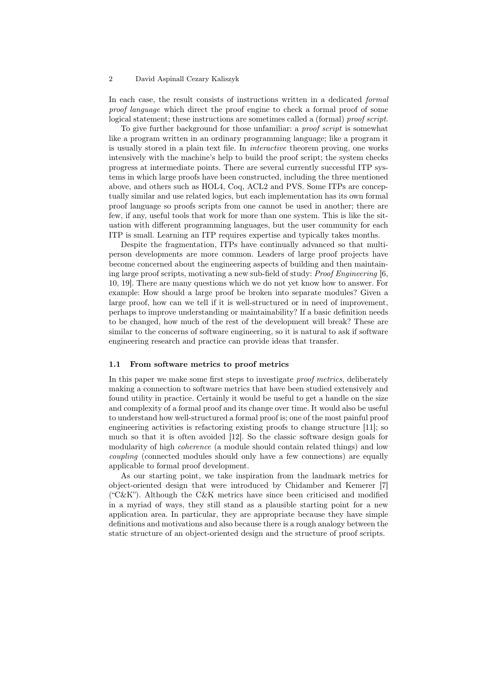In each case, the result consists of instructions written in a dedicated formal proof language which direct the proof engine to check a formal proof of some logical statement; these instructions are sometimes called a (formal) proof script.

To give further background for those unfamiliar: a proof script is somewhat like a program written in an ordinary programming language; like a program it is usually stored in a plain text file. In interactive theorem proving, one works intensively with the machine's help to build the proof script; the system checks progress at intermediate points. There are several currently successful ITP systems in which large proofs have been constructed, including the three mentioned above, and others such as HOL4, Coq, ACL2 and PVS. Some ITPs are conceptually similar and use related logics, but each implementation has its own formal proof language so proofs scripts from one cannot be used in another; there are few, if any, useful tools that work for more than one system. This is like the situation with different programming languages, but the user community for each ITP is small. Learning an ITP requires expertise and typically takes months.

Despite the fragmentation, ITPs have continually advanced so that multiperson developments are more common. Leaders of large proof projects have become concerned about the engineering aspects of building and then maintaining large proof scripts, motivating a new sub-field of study: Proof Engineering [6, 10, 19]. There are many questions which we do not yet know how to answer. For example: How should a large proof be broken into separate modules? Given a large proof, how can we tell if it is well-structured or in need of improvement, perhaps to improve understanding or maintainability? If a basic definition needs to be changed, how much of the rest of the development will break? These are similar to the concerns of software engineering, so it is natural to ask if software engineering research and practice can provide ideas that transfer.

#### 1.1 From software metrics to proof metrics

In this paper we make some first steps to investigate *proof metrics*, deliberately making a connection to software metrics that have been studied extensively and found utility in practice. Certainly it would be useful to get a handle on the size and complexity of a formal proof and its change over time. It would also be useful to understand how well-structured a formal proof is; one of the most painful proof engineering activities is refactoring existing proofs to change structure [11]; so much so that it is often avoided [12]. So the classic software design goals for modularity of high *coherence* (a module should contain related things) and low coupling (connected modules should only have a few connections) are equally applicable to formal proof development.

As our starting point, we take inspiration from the landmark metrics for object-oriented design that were introduced by Chidamber and Kemerer [7] ("C&K"). Although the C&K metrics have since been criticised and modified in a myriad of ways, they still stand as a plausible starting point for a new application area. In particular, they are appropriate because they have simple definitions and motivations and also because there is a rough analogy between the static structure of an object-oriented design and the structure of proof scripts.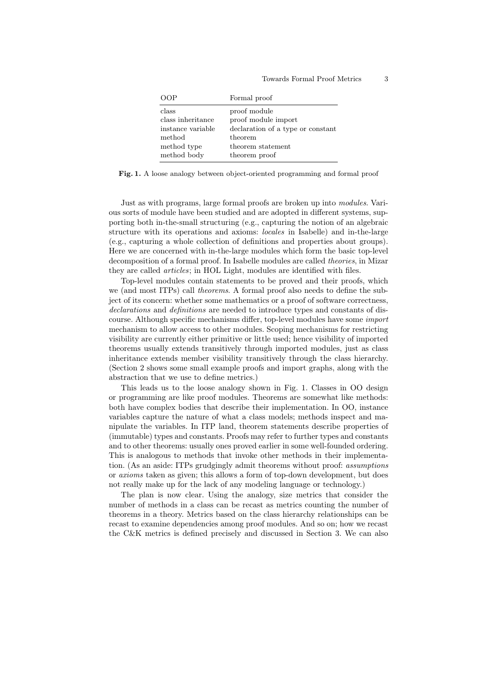| )( )P             | Formal proof                      |
|-------------------|-----------------------------------|
| class             | proof module                      |
| class inheritance | proof module import               |
| instance variable | declaration of a type or constant |
| method            | theorem                           |
| method type       | theorem statement                 |
| method body       | theorem proof                     |

Fig. 1. A loose analogy between object-oriented programming and formal proof

Just as with programs, large formal proofs are broken up into modules. Various sorts of module have been studied and are adopted in different systems, supporting both in-the-small structuring (e.g., capturing the notion of an algebraic structure with its operations and axioms: locales in Isabelle) and in-the-large (e.g., capturing a whole collection of definitions and properties about groups). Here we are concerned with in-the-large modules which form the basic top-level decomposition of a formal proof. In Isabelle modules are called theories, in Mizar they are called articles; in HOL Light, modules are identified with files.

Top-level modules contain statements to be proved and their proofs, which we (and most ITPs) call theorems. A formal proof also needs to define the subject of its concern: whether some mathematics or a proof of software correctness, declarations and definitions are needed to introduce types and constants of discourse. Although specific mechanisms differ, top-level modules have some import mechanism to allow access to other modules. Scoping mechanisms for restricting visibility are currently either primitive or little used; hence visibility of imported theorems usually extends transitively through imported modules, just as class inheritance extends member visibility transitively through the class hierarchy. (Section 2 shows some small example proofs and import graphs, along with the abstraction that we use to define metrics.)

This leads us to the loose analogy shown in Fig. 1. Classes in OO design or programming are like proof modules. Theorems are somewhat like methods: both have complex bodies that describe their implementation. In OO, instance variables capture the nature of what a class models; methods inspect and manipulate the variables. In ITP land, theorem statements describe properties of (immutable) types and constants. Proofs may refer to further types and constants and to other theorems: usually ones proved earlier in some well-founded ordering. This is analogous to methods that invoke other methods in their implementation. (As an aside: ITPs grudgingly admit theorems without proof: assumptions or axioms taken as given; this allows a form of top-down development, but does not really make up for the lack of any modeling language or technology.)

The plan is now clear. Using the analogy, size metrics that consider the number of methods in a class can be recast as metrics counting the number of theorems in a theory. Metrics based on the class hierarchy relationships can be recast to examine dependencies among proof modules. And so on; how we recast the C&K metrics is defined precisely and discussed in Section 3. We can also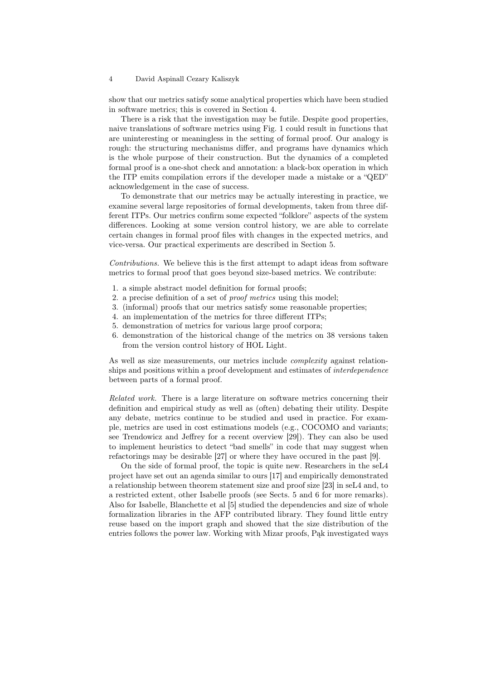show that our metrics satisfy some analytical properties which have been studied in software metrics; this is covered in Section 4.

There is a risk that the investigation may be futile. Despite good properties, naive translations of software metrics using Fig. 1 could result in functions that are uninteresting or meaningless in the setting of formal proof. Our analogy is rough: the structuring mechanisms differ, and programs have dynamics which is the whole purpose of their construction. But the dynamics of a completed formal proof is a one-shot check and annotation: a black-box operation in which the ITP emits compilation errors if the developer made a mistake or a "QED" acknowledgement in the case of success.

To demonstrate that our metrics may be actually interesting in practice, we examine several large repositories of formal developments, taken from three different ITPs. Our metrics confirm some expected "folklore" aspects of the system differences. Looking at some version control history, we are able to correlate certain changes in formal proof files with changes in the expected metrics, and vice-versa. Our practical experiments are described in Section 5.

Contributions. We believe this is the first attempt to adapt ideas from software metrics to formal proof that goes beyond size-based metrics. We contribute:

- 1. a simple abstract model definition for formal proofs;
- 2. a precise definition of a set of proof metrics using this model;
- 3. (informal) proofs that our metrics satisfy some reasonable properties;
- 4. an implementation of the metrics for three different ITPs;
- 5. demonstration of metrics for various large proof corpora;
- 6. demonstration of the historical change of the metrics on 38 versions taken from the version control history of HOL Light.

As well as size measurements, our metrics include complexity against relationships and positions within a proof development and estimates of *interdependence* between parts of a formal proof.

Related work. There is a large literature on software metrics concerning their definition and empirical study as well as (often) debating their utility. Despite any debate, metrics continue to be studied and used in practice. For example, metrics are used in cost estimations models (e.g., COCOMO and variants; see Trendowicz and Jeffrey for a recent overview [29]). They can also be used to implement heuristics to detect "bad smells" in code that may suggest when refactorings may be desirable [27] or where they have occured in the past [9].

On the side of formal proof, the topic is quite new. Researchers in the seL4 project have set out an agenda similar to ours [17] and empirically demonstrated a relationship between theorem statement size and proof size [23] in seL4 and, to a restricted extent, other Isabelle proofs (see Sects. 5 and 6 for more remarks). Also for Isabelle, Blanchette et al [5] studied the dependencies and size of whole formalization libraries in the AFP contributed library. They found little entry reuse based on the import graph and showed that the size distribution of the entries follows the power law. Working with Mizar proofs, Pąk investigated ways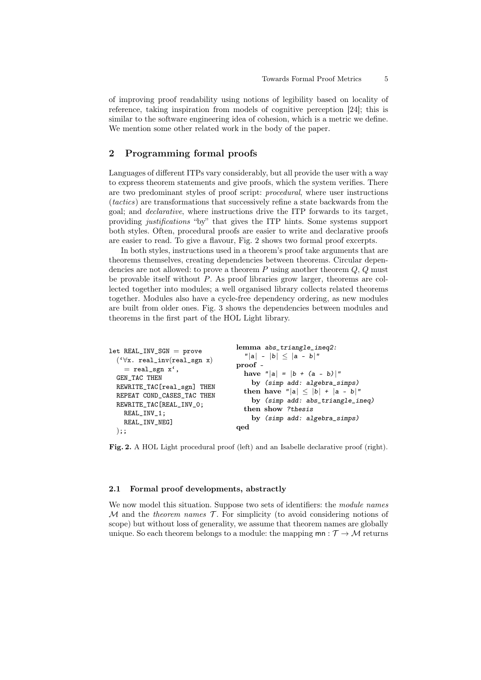of improving proof readability using notions of legibility based on locality of reference, taking inspiration from models of cognitive perception [24]; this is similar to the software engineering idea of cohesion, which is a metric we define. We mention some other related work in the body of the paper.

## 2 Programming formal proofs

Languages of different ITPs vary considerably, but all provide the user with a way to express theorem statements and give proofs, which the system verifies. There are two predominant styles of proof script: procedural, where user instructions (tactics) are transformations that successively refine a state backwards from the goal; and declarative, where instructions drive the ITP forwards to its target, providing justifications "by" that gives the ITP hints. Some systems support both styles. Often, procedural proofs are easier to write and declarative proofs are easier to read. To give a flavour, Fig. 2 shows two formal proof excerpts.

In both styles, instructions used in a theorem's proof take arguments that are theorems themselves, creating dependencies between theorems. Circular dependencies are not allowed: to prove a theorem  $P$  using another theorem  $Q, Q$  must be provable itself without P. As proof libraries grow larger, theorems are collected together into modules; a well organised library collects related theorems together. Modules also have a cycle-free dependency ordering, as new modules are built from older ones. Fig. 3 shows the dependencies between modules and theorems in the first part of the HOL Light library.

```
let REAL_INV_SGN = prove
('∀x. real_inv(real_sgn x)
  = real_sgn x',
GEN_TAC THEN
REWRITE_TAC[real_sgn] THEN
REPEAT COND_CASES_TAC THEN
REWRITE_TAC[REAL_INV_0;
  REAL_INV_1;
  REAL_INV_NEG]
);;
                                 lemma abs_triangle_ineq2:
                                    ||a|| - |b|| \leq |a - b||proof -
                                   have "|a| = |b + (a - b)|"
                                      by (simp add: algebra_simps)
                                   then have "|a| \leq |b| + |a - b|"
                                     by (simp add: abs_triangle_ineq)
                                   then show ?thesis
                                      by (simp add: algebra_simps)
                                 qed
```
Fig. 2. A HOL Light procedural proof (left) and an Isabelle declarative proof (right).

#### 2.1 Formal proof developments, abstractly

We now model this situation. Suppose two sets of identifiers: the *module names*  $M$  and the *theorem names*  $\mathcal{T}$ . For simplicity (to avoid considering notions of scope) but without loss of generality, we assume that theorem names are globally unique. So each theorem belongs to a module: the mapping  $mn : T \rightarrow M$  returns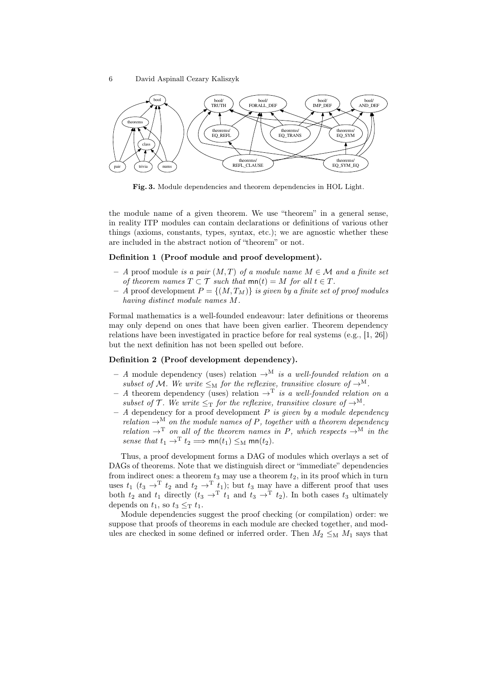

Fig. 3. Module dependencies and theorem dependencies in HOL Light.

the module name of a given theorem. We use "theorem" in a general sense, in reality ITP modules can contain declarations or definitions of various other things (axioms, constants, types, syntax, etc.); we are agnostic whether these are included in the abstract notion of "theorem" or not.

#### Definition 1 (Proof module and proof development).

- $A$  proof module is a pair  $(M, T)$  of a module name  $M \in \mathcal{M}$  and a finite set of theorem names  $T \subset \mathcal{T}$  such that  $mn(t) = M$  for all  $t \in T$ .
- A proof development  $P = \{(M, T_M)\}\$ is given by a finite set of proof modules having distinct module names M.

Formal mathematics is a well-founded endeavour: later definitions or theorems may only depend on ones that have been given earlier. Theorem dependency relations have been investigated in practice before for real systems (e.g., [1, 26]) but the next definition has not been spelled out before.

#### Definition 2 (Proof development dependency).

- A module dependency (uses) relation  $\rightarrow^M$  is a well-founded relation on a subset of M. We write  $\leq_M$  for the reflexive, transitive closure of  $\rightarrow^M$ .
- A theorem dependency (uses) relation  $\rightarrow^T$  is a well-founded relation on a subset of  $\mathcal T$ . We write  $\leq_T$  for the reflexive, transitive closure of  $\rightarrow^M$ .
- A dependency for a proof development  $P$  is given by a module dependency relation  $\rightarrow^M$  on the module names of P, together with a theorem dependency relation  $\rightarrow^T$  on all of the theorem names in P, which respects  $\rightarrow^M$  in the sense that  $t_1 \to^T t_2 \Longrightarrow \text{mn}(t_1) \leq_M \text{mn}(t_2)$ .

Thus, a proof development forms a DAG of modules which overlays a set of DAGs of theorems. Note that we distinguish direct or "immediate" dependencies from indirect ones: a theorem  $t_3$  may use a theorem  $t_2$ , in its proof which in turn uses  $t_1$  ( $t_3 \rightarrow^T t_2$  and  $t_2 \rightarrow^T t_1$ ); but  $t_3$  may have a different proof that uses both  $t_2$  and  $t_1$  directly  $(t_3 \rightarrow^T t_1$  and  $t_3 \rightarrow^T t_2)$ . In both cases  $t_3$  ultimately depends on  $t_1$ , so  $t_3 \leq_\mathrm{T} t_1$ .

Module dependencies suggest the proof checking (or compilation) order: we suppose that proofs of theorems in each module are checked together, and modules are checked in some defined or inferred order. Then  $M_2 \leq_M M_1$  says that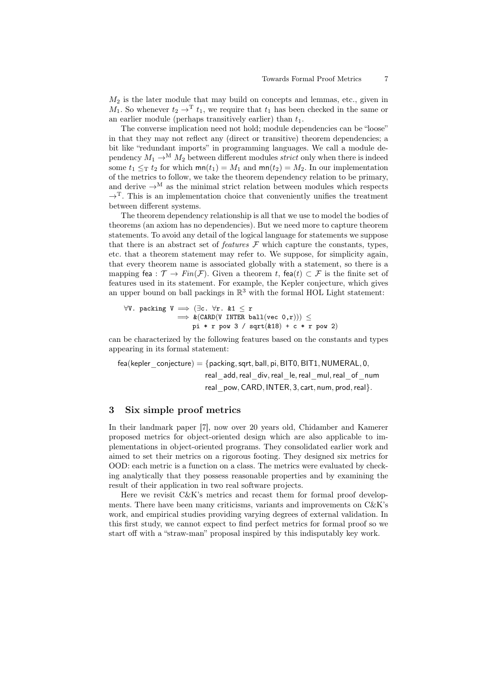$M_2$  is the later module that may build on concepts and lemmas, etc., given in  $M_1$ . So whenever  $t_2 \rightarrow^T t_1$ , we require that  $t_1$  has been checked in the same or an earlier module (perhaps transitively earlier) than  $t_1$ .

The converse implication need not hold; module dependencies can be "loose" in that they may not reflect any (direct or transitive) theorem dependencies; a bit like "redundant imports" in programming languages. We call a module dependency  $M_1 \rightarrow^M M_2$  between different modules *strict* only when there is indeed some  $t_1 \leq_T t_2$  for which  $mn(t_1) = M_1$  and  $mn(t_2) = M_2$ . In our implementation of the metrics to follow, we take the theorem dependency relation to be primary, and derive  $\rightarrow^M$  as the minimal strict relation between modules which respects  $\rightarrow^T$ . This is an implementation choice that conveniently unifies the treatment between different systems.

The theorem dependency relationship is all that we use to model the bodies of theorems (an axiom has no dependencies). But we need more to capture theorem statements. To avoid any detail of the logical language for statements we suppose that there is an abstract set of *features*  $\mathcal F$  which capture the constants, types, etc. that a theorem statement may refer to. We suppose, for simplicity again, that every theorem name is associated globally with a statement, so there is a mapping fea :  $\mathcal{T} \to Fin(\mathcal{F})$ . Given a theorem t, fea(t)  $\subset \mathcal{F}$  is the finite set of features used in its statement. For example, the Kepler conjecture, which gives an upper bound on ball packings in  $\mathbb{R}^3$  with the formal HOL Light statement:

 $\forall V.$  packing  $V \implies (\exists c. \forall r. \& 1 \leq r)$  $\implies$  &(CARD(V INTER ball(vec 0,r)))  $\leq$ pi \* r pow 3 / sqrt $(k18)$  + c \* r pow 2)

can be characterized by the following features based on the constants and types appearing in its formal statement:

fea(kepler\_conjecture) =  $\{$  packing, sqrt, ball, pi, BIT0, BIT1, NUMERAL, 0, real add, real div, real le, real mul, real of num real pow, CARD, INTER, 3, cart, num, prod, real}.

# 3 Six simple proof metrics

In their landmark paper [7], now over 20 years old, Chidamber and Kamerer proposed metrics for object-oriented design which are also applicable to implementations in object-oriented programs. They consolidated earlier work and aimed to set their metrics on a rigorous footing. They designed six metrics for OOD: each metric is a function on a class. The metrics were evaluated by checking analytically that they possess reasonable properties and by examining the result of their application in two real software projects.

Here we revisit C&K's metrics and recast them for formal proof developments. There have been many criticisms, variants and improvements on  $C\&K$ 's work, and empirical studies providing varying degrees of external validation. In this first study, we cannot expect to find perfect metrics for formal proof so we start off with a "straw-man" proposal inspired by this indisputably key work.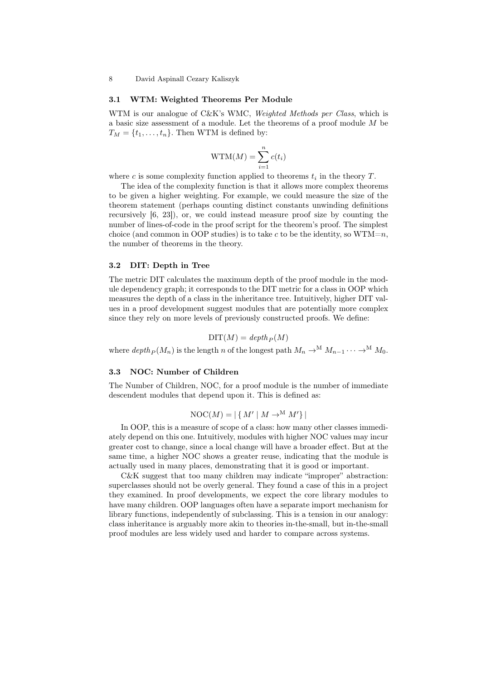#### 3.1 WTM: Weighted Theorems Per Module

WTM is our analogue of C&K's WMC, Weighted Methods per Class, which is a basic size assessment of a module. Let the theorems of a proof module M be  $T_M = \{t_1, \ldots, t_n\}.$  Then WTM is defined by:

$$
WTM(M) = \sum_{i=1}^{n} c(t_i)
$$

where c is some complexity function applied to theorems  $t_i$  in the theory  $T$ .

The idea of the complexity function is that it allows more complex theorems to be given a higher weighting. For example, we could measure the size of the theorem statement (perhaps counting distinct constants unwinding definitions recursively [6, 23]), or, we could instead measure proof size by counting the number of lines-of-code in the proof script for the theorem's proof. The simplest choice (and common in OOP studies) is to take c to be the identity, so  $WTM=n$ , the number of theorems in the theory.

#### 3.2 DIT: Depth in Tree

The metric DIT calculates the maximum depth of the proof module in the module dependency graph; it corresponds to the DIT metric for a class in OOP which measures the depth of a class in the inheritance tree. Intuitively, higher DIT values in a proof development suggest modules that are potentially more complex since they rely on more levels of previously constructed proofs. We define:

$$
\text{DIT}(M) = \text{depth}_P(M)
$$

where  $depth_P (M_n)$  is the length n of the longest path  $M_n \to^M M_{n-1} \cdots \to^M M_0$ .

#### 3.3 NOC: Number of Children

The Number of Children, NOC, for a proof module is the number of immediate descendent modules that depend upon it. This is defined as:

$$
\text{NOC}(M) = |\{ M' \mid M \to^M M' \}|
$$

In OOP, this is a measure of scope of a class: how many other classes immediately depend on this one. Intuitively, modules with higher NOC values may incur greater cost to change, since a local change will have a broader effect. But at the same time, a higher NOC shows a greater reuse, indicating that the module is actually used in many places, demonstrating that it is good or important.

C&K suggest that too many children may indicate "improper" abstraction: superclasses should not be overly general. They found a case of this in a project they examined. In proof developments, we expect the core library modules to have many children. OOP languages often have a separate import mechanism for library functions, independently of subclassing. This is a tension in our analogy: class inheritance is arguably more akin to theories in-the-small, but in-the-small proof modules are less widely used and harder to compare across systems.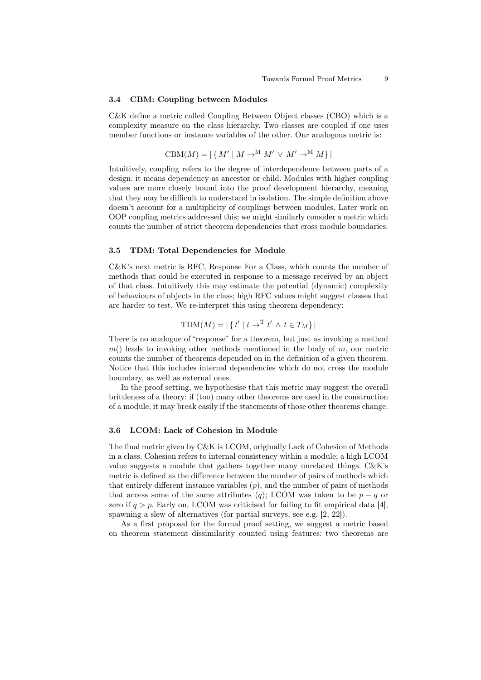#### 3.4 CBM: Coupling between Modules

C&K define a metric called Coupling Between Object classes (CBO) which is a complexity measure on the class hierarchy. Two classes are coupled if one uses member functions or instance variables of the other. Our analogous metric is:

$$
CBM(M) = |\{ M' | M \rightarrow^M M' \lor M' \rightarrow^M M \}|
$$

Intuitively, coupling refers to the degree of interdependence between parts of a design: it means dependency as ancestor or child. Modules with higher coupling values are more closely bound into the proof development hierarchy, meaning that they may be difficult to understand in isolation. The simple definition above doesn't account for a multiplicity of couplings between modules. Later work on OOP coupling metrics addressed this; we might similarly consider a metric which counts the number of strict theorem dependencies that cross module boundaries.

#### 3.5 TDM: Total Dependencies for Module

C&K's next metric is RFC, Response For a Class, which counts the number of methods that could be executed in response to a message received by an object of that class. Intuitively this may estimate the potential (dynamic) complexity of behaviours of objects in the class; high RFC values might suggest classes that are harder to test. We re-interpret this using theorem dependency:

$$
TDM(M) = |\{ t' | t \rightarrow^T t' \land t \in T_M \}|
$$

There is no analogue of "response" for a theorem, but just as invoking a method  $m()$  leads to invoking other methods mentioned in the body of m, our metric counts the number of theorems depended on in the definition of a given theorem. Notice that this includes internal dependencies which do not cross the module boundary, as well as external ones.

In the proof setting, we hypothesise that this metric may suggest the overall brittleness of a theory: if (too) many other theorems are used in the construction of a module, it may break easily if the statements of those other theorems change.

#### 3.6 LCOM: Lack of Cohesion in Module

The final metric given by C&K is LCOM, originally Lack of Cohesion of Methods in a class. Cohesion refers to internal consistency within a module; a high LCOM value suggests a module that gathers together many unrelated things. C&K's metric is defined as the difference between the number of pairs of methods which that entirely different instance variables  $(p)$ , and the number of pairs of methods that access some of the same attributes (q); LCOM was taken to be  $p - q$  or zero if  $q > p$ . Early on, LCOM was criticised for failing to fit empirical data [4], spawning a slew of alternatives (for partial surveys, see e.g. [2, 22]).

As a first proposal for the formal proof setting, we suggest a metric based on theorem statement dissimilarity counted using features: two theorems are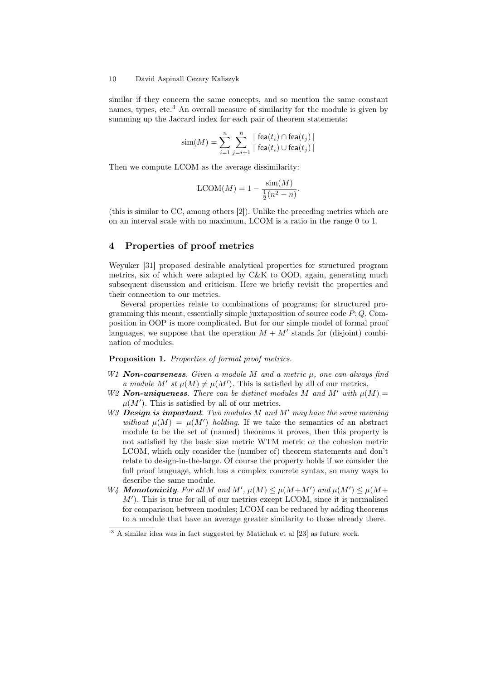similar if they concern the same concepts, and so mention the same constant names, types, etc.<sup>3</sup> An overall measure of similarity for the module is given by summing up the Jaccard index for each pair of theorem statements:

$$
\mathrm{sim}(M) = \sum_{i=1}^n \sum_{j=i+1}^n \frac{\mid \mathsf{fea}(t_i) \cap \mathsf{fea}(t_j) \mid}{\mid \mathsf{fea}(t_i) \cup \mathsf{fea}(t_j) \mid}
$$

Then we compute LCOM as the average dissimilarity:

$$
LCOM(M) = 1 - \frac{\sin(M)}{\frac{1}{2}(n^2 - n)}.
$$

(this is similar to CC, among others [2]). Unlike the preceding metrics which are on an interval scale with no maximum, LCOM is a ratio in the range 0 to 1.

# 4 Properties of proof metrics

Weyuker [31] proposed desirable analytical properties for structured program metrics, six of which were adapted by C&K to OOD, again, generating much subsequent discussion and criticism. Here we briefly revisit the properties and their connection to our metrics.

Several properties relate to combinations of programs; for structured programming this meant, essentially simple juxtaposition of source code  $P$ ;  $Q$ . Composition in OOP is more complicated. But for our simple model of formal proof languages, we suppose that the operation  $M + M'$  stands for (disjoint) combination of modules.

### Proposition 1. Properties of formal proof metrics.

- W1 **Non-coarseness**. Given a module M and a metric  $\mu$ , one can always find a module M' st  $\mu(M) \neq \mu(M')$ . This is satisfied by all of our metrics.
- W2 **Non-uniqueness**. There can be distinct modules M and M' with  $\mu(M) =$  $\mu(M')$ . This is satisfied by all of our metrics.
- $W3$  **Design is important**. Two modules M and M' may have the same meaning without  $\mu(M) = \mu(M')$  holding. If we take the semantics of an abstract module to be the set of (named) theorems it proves, then this property is not satisfied by the basic size metric WTM metric or the cohesion metric LCOM, which only consider the (number of) theorem statements and don't relate to design-in-the-large. Of course the property holds if we consider the full proof language, which has a complex concrete syntax, so many ways to describe the same module.
- W<sub>4</sub> **Monotonicity**. For all M and M',  $\mu(M) \leq \mu(M+M')$  and  $\mu(M') \leq \mu(M+M')$  $M'$ ). This is true for all of our metrics except LCOM, since it is normalised for comparison between modules; LCOM can be reduced by adding theorems to a module that have an average greater similarity to those already there.

<sup>3</sup> A similar idea was in fact suggested by Matichuk et al [23] as future work.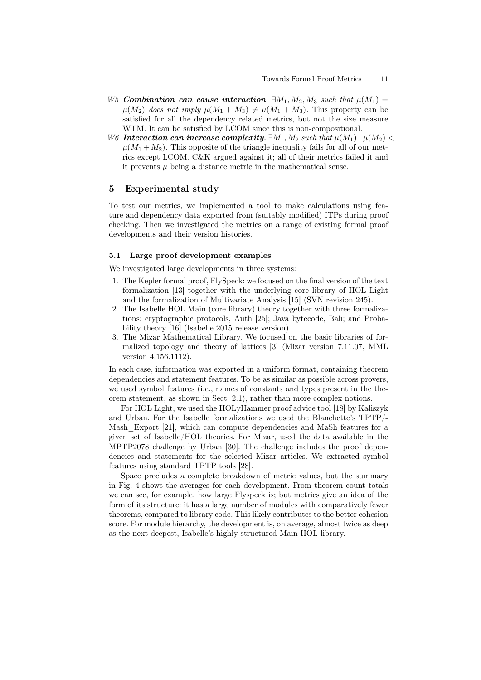- W5 Combination can cause interaction.  $\exists M_1, M_2, M_3$  such that  $\mu(M_1)$  =  $\mu(M_2)$  does not imply  $\mu(M_1 + M_3) \neq \mu(M_1 + M_3)$ . This property can be satisfied for all the dependency related metrics, but not the size measure WTM. It can be satisfied by LCOM since this is non-compositional.
- W6 Interaction can increase complexity.  $\exists M_1, M_2$  such that  $\mu(M_1)+\mu(M_2)$  $\mu(M_1 + M_2)$ . This opposite of the triangle inequality fails for all of our metrics except LCOM. C&K argued against it; all of their metrics failed it and it prevents  $\mu$  being a distance metric in the mathematical sense.

# 5 Experimental study

To test our metrics, we implemented a tool to make calculations using feature and dependency data exported from (suitably modified) ITPs during proof checking. Then we investigated the metrics on a range of existing formal proof developments and their version histories.

#### 5.1 Large proof development examples

We investigated large developments in three systems:

- 1. The Kepler formal proof, FlySpeck: we focused on the final version of the text formalization [13] together with the underlying core library of HOL Light and the formalization of Multivariate Analysis [15] (SVN revision 245).
- 2. The Isabelle HOL Main (core library) theory together with three formalizations: cryptographic protocols, Auth [25]; Java bytecode, Bali; and Probability theory [16] (Isabelle 2015 release version).
- 3. The Mizar Mathematical Library. We focused on the basic libraries of formalized topology and theory of lattices [3] (Mizar version 7.11.07, MML version 4.156.1112).

In each case, information was exported in a uniform format, containing theorem dependencies and statement features. To be as similar as possible across provers, we used symbol features (i.e., names of constants and types present in the theorem statement, as shown in Sect. 2.1), rather than more complex notions.

For HOL Light, we used the HOLyHammer proof advice tool [18] by Kaliszyk and Urban. For the Isabelle formalizations we used the Blanchette's TPTP/- Mash Export [21], which can compute dependencies and MaSh features for a given set of Isabelle/HOL theories. For Mizar, used the data available in the MPTP2078 challenge by Urban [30]. The challenge includes the proof dependencies and statements for the selected Mizar articles. We extracted symbol features using standard TPTP tools [28].

Space precludes a complete breakdown of metric values, but the summary in Fig. 4 shows the averages for each development. From theorem count totals we can see, for example, how large Flyspeck is; but metrics give an idea of the form of its structure: it has a large number of modules with comparatively fewer theorems, compared to library code. This likely contributes to the better cohesion score. For module hierarchy, the development is, on average, almost twice as deep as the next deepest, Isabelle's highly structured Main HOL library.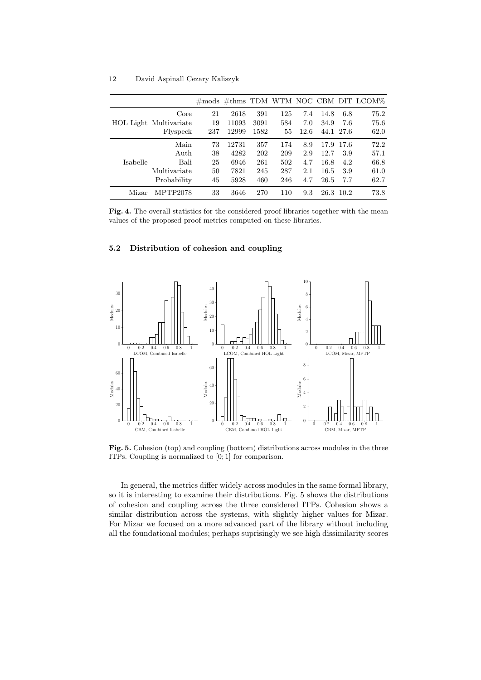|          |                        |     |       |      |     |      |      |           | $\#$ mods $\#$ thms TDM WTM NOC CBM DIT LCOM $\%$ |
|----------|------------------------|-----|-------|------|-----|------|------|-----------|---------------------------------------------------|
|          | Core                   | 21  | 2618  | 391  | 125 | 7.4  | 14.8 | 6.8       | 75.2                                              |
|          | HOL Light Multivariate | 19  | 11093 | 3091 | 584 | 7.0  | 34.9 | 7.6       | 75.6                                              |
|          | Flyspeck               | 237 | 12999 | 1582 | 55  | 12.6 |      | 44.1 27.6 | 62.0                                              |
| Isabelle | Main                   | 73  | 12731 | 357  | 174 | 8.9  | 17.9 | 17.6      | 72.2                                              |
|          | Auth                   | 38  | 4282  | 202  | 209 | 2.9  | 12.7 | 3.9       | 57.1                                              |
|          | Bali                   | 25  | 6946  | 261  | 502 | 4.7  | 16.8 | 4.2       | 66.8                                              |
|          | Multivariate           | 50  | 7821  | 245  | 287 | 2.1  | 16.5 | 3.9       | 61.0                                              |
|          | Probability            | 45  | 5928  | 460  | 246 | 4.7  | 26.5 | 7.7       | 62.7                                              |
| Mizar    | MPTP2078               | 33  | 3646  | 270  | 110 | 9.3  | 26.3 | -10.2     | 73.8                                              |

Fig. 4. The overall statistics for the considered proof libraries together with the mean values of the proposed proof metrics computed on these libraries.

#### 5.2 Distribution of cohesion and coupling



Fig. 5. Cohesion (top) and coupling (bottom) distributions across modules in the three ITPs. Coupling is normalized to [0; 1] for comparison.

In general, the metrics differ widely across modules in the same formal library, so it is interesting to examine their distributions. Fig. 5 shows the distributions of cohesion and coupling across the three considered ITPs. Cohesion shows a similar distribution across the systems, with slightly higher values for Mizar. For Mizar we focused on a more advanced part of the library without including all the foundational modules; perhaps suprisingly we see high dissimilarity scores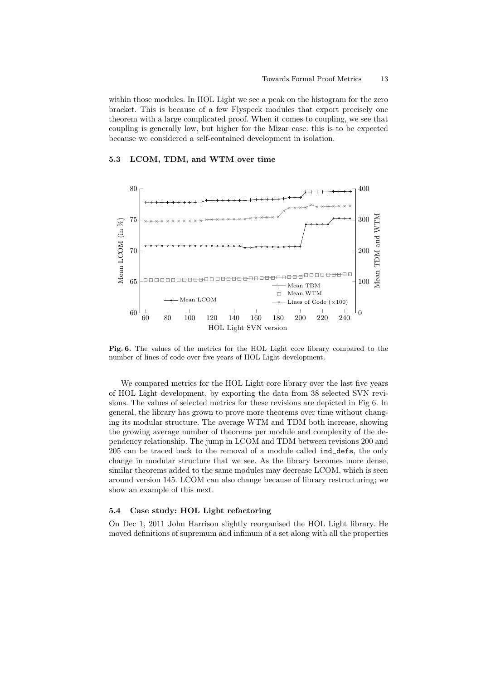within those modules. In HOL Light we see a peak on the histogram for the zero bracket. This is because of a few Flyspeck modules that export precisely one theorem with a large complicated proof. When it comes to coupling, we see that coupling is generally low, but higher for the Mizar case: this is to be expected because we considered a self-contained development in isolation.

#### 5.3 LCOM, TDM, and WTM over time



Fig. 6. The values of the metrics for the HOL Light core library compared to the number of lines of code over five years of HOL Light development.

We compared metrics for the HOL Light core library over the last five years of HOL Light development, by exporting the data from 38 selected SVN revisions. The values of selected metrics for these revisions are depicted in Fig 6. In general, the library has grown to prove more theorems over time without changing its modular structure. The average WTM and TDM both increase, showing the growing average number of theorems per module and complexity of the dependency relationship. The jump in LCOM and TDM between revisions 200 and 205 can be traced back to the removal of a module called ind\_defs, the only change in modular structure that we see. As the library becomes more dense, similar theorems added to the same modules may decrease LCOM, which is seen around version 145. LCOM can also change because of library restructuring; we show an example of this next.

#### 5.4 Case study: HOL Light refactoring

On Dec 1, 2011 John Harrison slightly reorganised the HOL Light library. He moved definitions of supremum and infimum of a set along with all the properties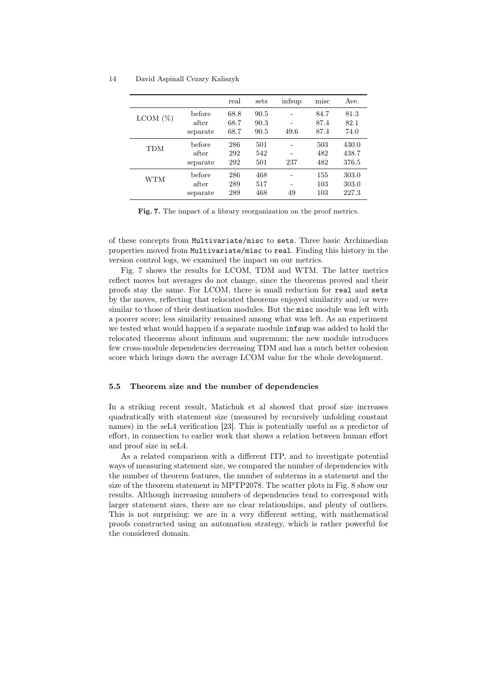|             |          | real | sets | infsup | misc | Ave.  |
|-------------|----------|------|------|--------|------|-------|
| $LCDM (\%)$ | before   | 68.8 | 90.5 |        | 84.7 | 81.3  |
|             | after    | 68.7 | 90.3 |        | 87.4 | 82.1  |
|             | separate | 68.7 | 90.5 | 49.6   | 87.4 | 74.0  |
| TDM         | before   | 286  | 501  |        | 503  | 430.0 |
|             | after    | 292  | 542  |        | 482  | 438.7 |
|             | separate | 292  | 501  | 237    | 482  | 376.5 |
| <b>WTM</b>  | before   | 286  | 468  |        | 155  | 303.0 |
|             | after    | 289  | 517  |        | 103  | 303.0 |
|             | separate | 289  | 468  | 49     | 103  | 227.3 |

Fig. 7. The impact of a library reorganization on the proof metrics.

of these concepts from Multivariate/misc to sets. Three basic Archimedian properties moved from Multivariate/misc to real. Finding this history in the version control logs, we examined the impact on our metrics.

Fig. 7 shows the results for LCOM, TDM and WTM. The latter metrics reflect moves but averages do not change, since the theorems proved and their proofs stay the same. For LCOM, there is small reduction for real and sets by the moves, reflecting that relocated theorems enjoyed similarity and/or were similar to those of their destination modules. But the misc module was left with a poorer score; less similarity remained among what was left. As an experiment we tested what would happen if a separate module infsup was added to hold the relocated theorems about infimum and supremum; the new module introduces few cross-module dependencies decreasing TDM and has a much better cohesion score which brings down the average LCOM value for the whole development.

#### 5.5 Theorem size and the number of dependencies

In a striking recent result, Matichuk et al showed that proof size increases quadratically with statement size (measured by recursively unfolding constant names) in the seL4 verification [23]. This is potentially useful as a predictor of effort, in connection to earlier work that shows a relation between human effort and proof size in seL4.

As a related comparison with a different ITP, and to investigate potential ways of measuring statement size, we compared the number of dependencies with the number of theorem features, the number of subterms in a statement and the size of the theorem statement in MPTP2078. The scatter plots in Fig. 8 show our results. Although increasing numbers of dependencies tend to correspond with larger statement sizes, there are no clear relationships, and plenty of outliers. This is not surprising: we are in a very different setting, with mathematical proofs constructed using an automation strategy, which is rather powerful for the considered domain.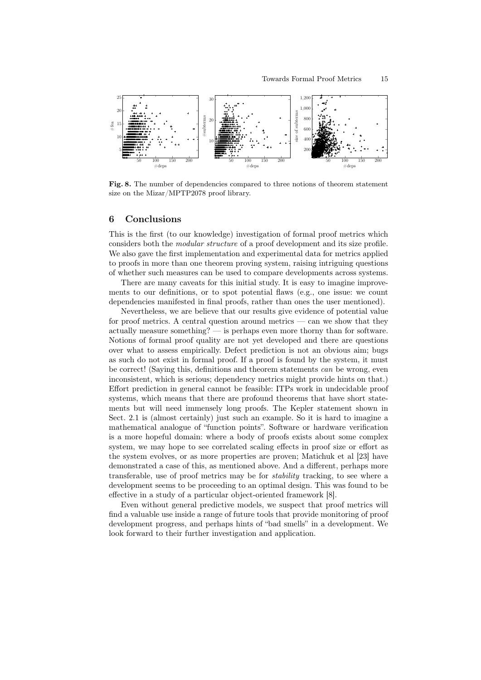

Fig. 8. The number of dependencies compared to three notions of theorem statement size on the Mizar/MPTP2078 proof library.

#### 6 Conclusions

This is the first (to our knowledge) investigation of formal proof metrics which considers both the *modular structure* of a proof development and its size profile. We also gave the first implementation and experimental data for metrics applied to proofs in more than one theorem proving system, raising intriguing questions of whether such measures can be used to compare developments across systems.

There are many caveats for this initial study. It is easy to imagine improvements to our definitions, or to spot potential flaws (e.g., one issue: we count dependencies manifested in final proofs, rather than ones the user mentioned).

Nevertheless, we are believe that our results give evidence of potential value for proof metrics. A central question around metrics — can we show that they actually measure something? — is perhaps even more thorny than for software. Notions of formal proof quality are not yet developed and there are questions over what to assess empirically. Defect prediction is not an obvious aim; bugs as such do not exist in formal proof. If a proof is found by the system, it must be correct! (Saying this, definitions and theorem statements can be wrong, even inconsistent, which is serious; dependency metrics might provide hints on that.) Effort prediction in general cannot be feasible: ITPs work in undecidable proof systems, which means that there are profound theorems that have short statements but will need immensely long proofs. The Kepler statement shown in Sect. 2.1 is (almost certainly) just such an example. So it is hard to imagine a mathematical analogue of "function points". Software or hardware verification is a more hopeful domain: where a body of proofs exists about some complex system, we may hope to see correlated scaling effects in proof size or effort as the system evolves, or as more properties are proven; Matichuk et al [23] have demonstrated a case of this, as mentioned above. And a different, perhaps more transferable, use of proof metrics may be for stability tracking, to see where a development seems to be proceeding to an optimal design. This was found to be effective in a study of a particular object-oriented framework [8].

Even without general predictive models, we suspect that proof metrics will find a valuable use inside a range of future tools that provide monitoring of proof development progress, and perhaps hints of "bad smells" in a development. We look forward to their further investigation and application.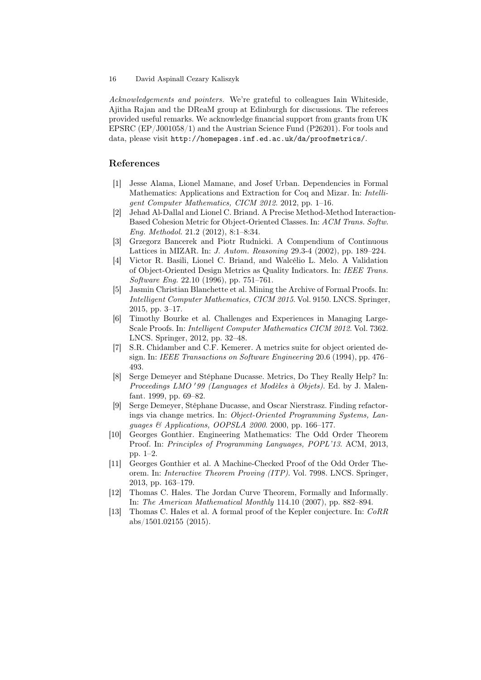Acknowledgements and pointers. We're grateful to colleagues Iain Whiteside, Ajitha Rajan and the DReaM group at Edinburgh for discussions. The referees provided useful remarks. We acknowledge financial support from grants from UK EPSRC (EP/J001058/1) and the Austrian Science Fund (P26201). For tools and data, please visit http://homepages.inf.ed.ac.uk/da/proofmetrics/.

# References

- [1] Jesse Alama, Lionel Mamane, and Josef Urban. Dependencies in Formal Mathematics: Applications and Extraction for Coq and Mizar. In: Intelligent Computer Mathematics, CICM 2012. 2012, pp. 1–16.
- [2] Jehad Al-Dallal and Lionel C. Briand. A Precise Method-Method Interaction-Based Cohesion Metric for Object-Oriented Classes. In: ACM Trans. Softw. Eng. Methodol. 21.2 (2012), 8:1–8:34.
- [3] Grzegorz Bancerek and Piotr Rudnicki. A Compendium of Continuous Lattices in MIZAR. In: J. Autom. Reasoning 29.3-4 (2002), pp. 189–224.
- [4] Victor R. Basili, Lionel C. Briand, and Walcélio L. Melo. A Validation of Object-Oriented Design Metrics as Quality Indicators. In: IEEE Trans. Software Eng. 22.10 (1996), pp. 751–761.
- [5] Jasmin Christian Blanchette et al. Mining the Archive of Formal Proofs. In: Intelligent Computer Mathematics, CICM 2015. Vol. 9150. LNCS. Springer, 2015, pp. 3–17.
- [6] Timothy Bourke et al. Challenges and Experiences in Managing Large-Scale Proofs. In: Intelligent Computer Mathematics CICM 2012. Vol. 7362. LNCS. Springer, 2012, pp. 32–48.
- [7] S.R. Chidamber and C.F. Kemerer. A metrics suite for object oriented design. In: IEEE Transactions on Software Engineering 20.6 (1994), pp. 476– 493.
- [8] Serge Demeyer and Stéphane Ducasse. Metrics, Do They Really Help? In: Proceedings LMO '99 (Languages et Modèles à Objets). Ed. by J. Malenfant. 1999, pp. 69–82.
- [9] Serge Demeyer, Stéphane Ducasse, and Oscar Nierstrasz. Finding refactorings via change metrics. In: Object-Oriented Programming Systems, Languages & Applications, OOPSLA 2000. 2000, pp. 166–177.
- [10] Georges Gonthier. Engineering Mathematics: The Odd Order Theorem Proof. In: Principles of Programming Languages, POPL'13. ACM, 2013, pp. 1–2.
- [11] Georges Gonthier et al. A Machine-Checked Proof of the Odd Order Theorem. In: Interactive Theorem Proving (ITP). Vol. 7998. LNCS. Springer, 2013, pp. 163–179.
- [12] Thomas C. Hales. The Jordan Curve Theorem, Formally and Informally. In: The American Mathematical Monthly 114.10 (2007), pp. 882–894.
- [13] Thomas C. Hales et al. A formal proof of the Kepler conjecture. In: CoRR abs/1501.02155 (2015).